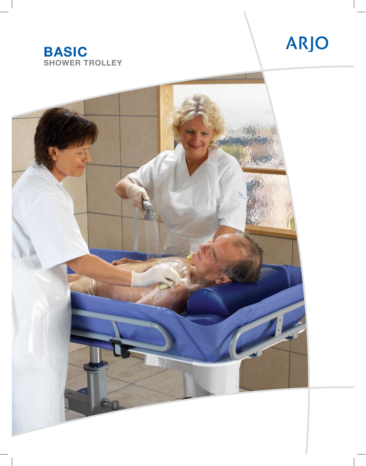